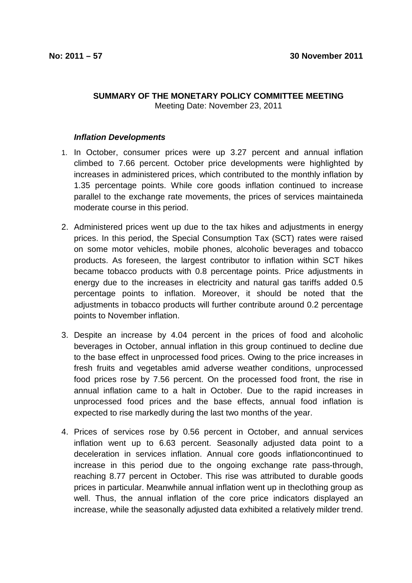## **SUMMARY OF THE MONETARY POLICY COMMITTEE MEETING**  Meeting Date: November 23, 2011

## **Inflation Developments**

- 1. In October, consumer prices were up 3.27 percent and annual inflation climbed to 7.66 percent. October price developments were highlighted by increases in administered prices, which contributed to the monthly inflation by 1.35 percentage points. While core goods inflation continued to increase parallel to the exchange rate movements, the prices of services maintaineda moderate course in this period.
- 2. Administered prices went up due to the tax hikes and adjustments in energy prices. In this period, the Special Consumption Tax (SCT) rates were raised on some motor vehicles, mobile phones, alcoholic beverages and tobacco products. As foreseen, the largest contributor to inflation within SCT hikes became tobacco products with 0.8 percentage points. Price adjustments in energy due to the increases in electricity and natural gas tariffs added 0.5 percentage points to inflation. Moreover, it should be noted that the adjustments in tobacco products will further contribute around 0.2 percentage points to November inflation.
- 3. Despite an increase by 4.04 percent in the prices of food and alcoholic beverages in October, annual inflation in this group continued to decline due to the base effect in unprocessed food prices. Owing to the price increases in fresh fruits and vegetables amid adverse weather conditions, unprocessed food prices rose by 7.56 percent. On the processed food front, the rise in annual inflation came to a halt in October. Due to the rapid increases in unprocessed food prices and the base effects, annual food inflation is expected to rise markedly during the last two months of the year.
- 4. Prices of services rose by 0.56 percent in October, and annual services inflation went up to 6.63 percent. Seasonally adjusted data point to a deceleration in services inflation. Annual core goods inflationcontinued to increase in this period due to the ongoing exchange rate pass-through, reaching 8.77 percent in October. This rise was attributed to durable goods prices in particular. Meanwhile annual inflation went up in theclothing group as well. Thus, the annual inflation of the core price indicators displayed an increase, while the seasonally adjusted data exhibited a relatively milder trend.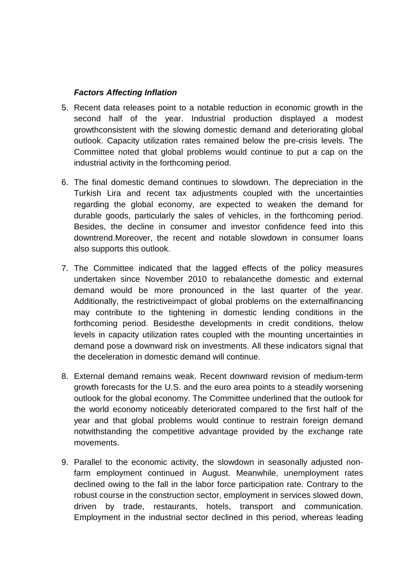## **Factors Affecting Inflation**

- 5. Recent data releases point to a notable reduction in economic growth in the second half of the year. Industrial production displayed a modest growthconsistent with the slowing domestic demand and deteriorating global outlook. Capacity utilization rates remained below the pre-crisis levels. The Committee noted that global problems would continue to put a cap on the industrial activity in the forthcoming period.
- 6. The final domestic demand continues to slowdown. The depreciation in the Turkish Lira and recent tax adjustments coupled with the uncertainties regarding the global economy, are expected to weaken the demand for durable goods, particularly the sales of vehicles, in the forthcoming period. Besides, the decline in consumer and investor confidence feed into this downtrend.Moreover, the recent and notable slowdown in consumer loans also supports this outlook.
- 7. The Committee indicated that the lagged effects of the policy measures undertaken since November 2010 to rebalancethe domestic and external demand would be more pronounced in the last quarter of the year. Additionally, the restrictiveimpact of global problems on the externalfinancing may contribute to the tightening in domestic lending conditions in the forthcoming period. Besidesthe developments in credit conditions, thelow levels in capacity utilization rates coupled with the mounting uncertainties in demand pose a downward risk on investments. All these indicators signal that the deceleration in domestic demand will continue.
- 8. External demand remains weak. Recent downward revision of medium-term growth forecasts for the U.S. and the euro area points to a steadily worsening outlook for the global economy. The Committee underlined that the outlook for the world economy noticeably deteriorated compared to the first half of the year and that global problems would continue to restrain foreign demand notwithstanding the competitive advantage provided by the exchange rate movements.
- 9. Parallel to the economic activity, the slowdown in seasonally adjusted nonfarm employment continued in August. Meanwhile, unemployment rates declined owing to the fall in the labor force participation rate. Contrary to the robust course in the construction sector, employment in services slowed down, driven by trade, restaurants, hotels, transport and communication. Employment in the industrial sector declined in this period, whereas leading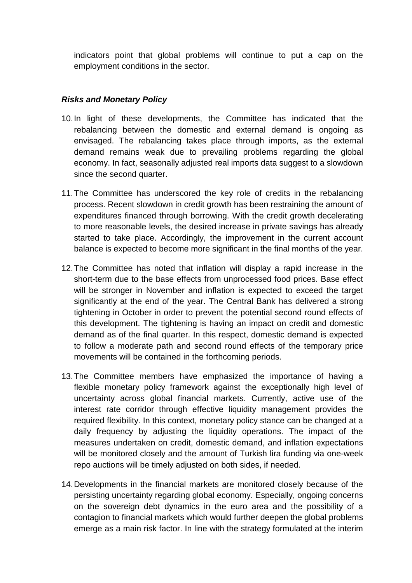indicators point that global problems will continue to put a cap on the employment conditions in the sector.

## **Risks and Monetary Policy**

- 10. In light of these developments, the Committee has indicated that the rebalancing between the domestic and external demand is ongoing as envisaged. The rebalancing takes place through imports, as the external demand remains weak due to prevailing problems regarding the global economy. In fact, seasonally adjusted real imports data suggest to a slowdown since the second quarter.
- 11. The Committee has underscored the key role of credits in the rebalancing process. Recent slowdown in credit growth has been restraining the amount of expenditures financed through borrowing. With the credit growth decelerating to more reasonable levels, the desired increase in private savings has already started to take place. Accordingly, the improvement in the current account balance is expected to become more significant in the final months of the year.
- 12. The Committee has noted that inflation will display a rapid increase in the short-term due to the base effects from unprocessed food prices. Base effect will be stronger in November and inflation is expected to exceed the target significantly at the end of the year. The Central Bank has delivered a strong tightening in October in order to prevent the potential second round effects of this development. The tightening is having an impact on credit and domestic demand as of the final quarter. In this respect, domestic demand is expected to follow a moderate path and second round effects of the temporary price movements will be contained in the forthcoming periods.
- 13. The Committee members have emphasized the importance of having a flexible monetary policy framework against the exceptionally high level of uncertainty across global financial markets. Currently, active use of the interest rate corridor through effective liquidity management provides the required flexibility. In this context, monetary policy stance can be changed at a daily frequency by adjusting the liquidity operations. The impact of the measures undertaken on credit, domestic demand, and inflation expectations will be monitored closely and the amount of Turkish lira funding via one-week repo auctions will be timely adjusted on both sides, if needed.
- 14. Developments in the financial markets are monitored closely because of the persisting uncertainty regarding global economy. Especially, ongoing concerns on the sovereign debt dynamics in the euro area and the possibility of a contagion to financial markets which would further deepen the global problems emerge as a main risk factor. In line with the strategy formulated at the interim